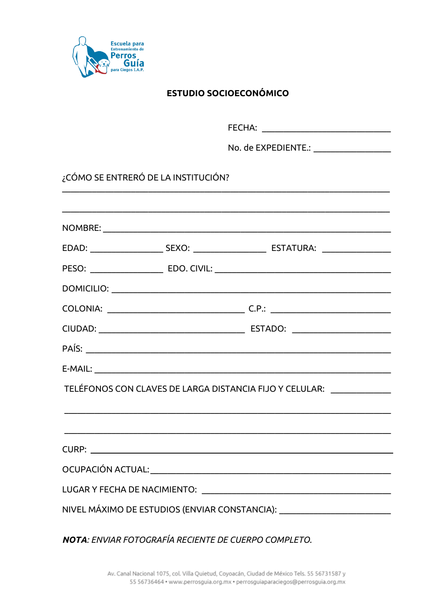

### **ESTUDIO SOCIOECONÓMICO**

FECHA: The contract of the contract of the contract of the contract of the contract of the contract of the contract of the contract of the contract of the contract of the contract of the contract of the contract of the con No. de EXPEDIENTE.: No. de EXPEDIENTE. ¿CÓMO SE ENTRERÓ DE LA INSTITUCIÓN? NOMBRE: NORTH THE STATE OF THE STATE OF THE STATE OF THE STATE OF THE STATE OF THE STATE OF THE STATE OF THE STATE OF THE STATE OF THE STATE OF THE STATE OF THE STATE OF THE STATE OF THE STATE OF THE STATE OF THE STATE OF PESO: EDO. CIVIL: EDO. CIVIL: COLONIA: C.P.: C.P. E-MAIL: E-MAIL: TELÉFONOS CON CLAVES DE LARGA DISTANCIA FIJO Y CELULAR: \_\_\_\_\_\_\_\_\_\_\_\_\_\_\_\_\_\_\_\_\_\_\_\_ **CURP: CURP: CURP: CURP: CURP: CURP: CURP: CURP: CURP: CURP: CURP: CURP: CURP: COLORE: COLORE: COLORE: COLORE: COLORE: COLORE: COLORE: COLORE: COLORE: COLORE: COLORE: COLORE:** OCUPACIÓN ACTUAL: in the contract of the contract of the contract of the contract of the contract of the contract of the contract of the contract of the contract of the contract of the contract of the contract of the contr LUGAR Y FECHA DE NACIMIENTO: 

**NOTA: FNVIAR FOTOGRAFÍA RECIENTE DE CUERPO COMPLETO.**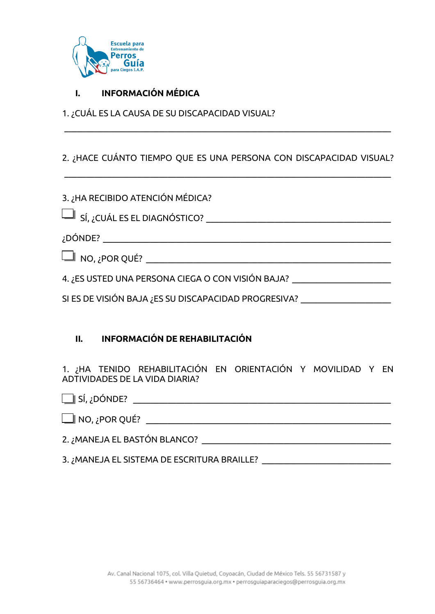

### **I. INFORMACIÓN MÉDICA**

1. ¿CUÁL ES LA CAUSA DE SU DISCAPACIDAD VISUAL?

### 2. ¿HACE CUÁNTO TIEMPO QUE ES UNA PERSONA CON DISCAPACIDAD VISUAL?

 $\mathcal{L}_\mathcal{L} = \{ \mathcal{L}_\mathcal{L} = \{ \mathcal{L}_\mathcal{L} = \{ \mathcal{L}_\mathcal{L} = \{ \mathcal{L}_\mathcal{L} = \{ \mathcal{L}_\mathcal{L} = \{ \mathcal{L}_\mathcal{L} = \{ \mathcal{L}_\mathcal{L} = \{ \mathcal{L}_\mathcal{L} = \{ \mathcal{L}_\mathcal{L} = \{ \mathcal{L}_\mathcal{L} = \{ \mathcal{L}_\mathcal{L} = \{ \mathcal{L}_\mathcal{L} = \{ \mathcal{L}_\mathcal{L} = \{ \mathcal{L}_\mathcal{$ 

 $\mathcal{L}_\mathcal{L} = \{ \mathcal{L}_\mathcal{L} = \{ \mathcal{L}_\mathcal{L} = \{ \mathcal{L}_\mathcal{L} = \{ \mathcal{L}_\mathcal{L} = \{ \mathcal{L}_\mathcal{L} = \{ \mathcal{L}_\mathcal{L} = \{ \mathcal{L}_\mathcal{L} = \{ \mathcal{L}_\mathcal{L} = \{ \mathcal{L}_\mathcal{L} = \{ \mathcal{L}_\mathcal{L} = \{ \mathcal{L}_\mathcal{L} = \{ \mathcal{L}_\mathcal{L} = \{ \mathcal{L}_\mathcal{L} = \{ \mathcal{L}_\mathcal{$ 

3. ¿HA RECIBIDO ATENCIÓN MÉDICA?

SÍ, ¿CUÁL ES EL DIAGNÓSTICO? \_\_\_\_\_\_\_\_\_\_\_\_\_\_\_\_\_\_\_\_\_\_\_\_\_\_\_\_\_\_\_\_\_\_\_\_\_\_\_\_\_\_\_

¿DÓNDE? \_\_\_\_\_\_\_\_\_\_\_\_\_\_\_\_\_\_\_\_\_\_\_\_\_\_\_\_\_\_\_\_\_\_\_\_\_\_\_\_\_\_\_\_\_\_\_\_\_\_\_\_\_\_\_\_\_\_\_\_\_\_\_\_\_\_\_

NO, ¿POR QUÉ? \_\_\_\_\_\_\_\_\_\_\_\_\_\_\_\_\_\_\_\_\_\_\_\_\_\_\_\_\_\_\_\_\_\_\_\_\_\_\_\_\_\_\_\_\_\_\_\_\_\_\_\_\_\_\_\_\_

4. ¿ES USTED UNA PERSONA CIEGA O CON VISIÓN BAJA? \_\_\_\_\_\_\_\_\_\_\_\_\_\_\_\_\_\_\_\_\_\_\_\_\_\_\_\_\_\_

SI ES DE VISIÓN BAJA ¿ES SU DISCAPACIDAD PROGRESIVA?

### **II. INFORMACIÓN DE REHABILITACIÓN**

1. ¿HA TENIDO REHABILITACIÓN EN ORIENTACIÓN Y MOVILIDAD Y EN ADTIVIDADES DE LA VIDA DIARIA?

 SÍ, ¿DÓNDE? \_\_\_\_\_\_\_\_\_\_\_\_\_\_\_\_\_\_\_\_\_\_\_\_\_\_\_\_\_\_\_\_\_\_\_\_\_\_\_\_\_\_\_\_\_\_\_\_\_\_\_\_\_\_\_\_\_\_\_\_  $\Box$  NO, ¿POR QUÉ?  $\quad \qquad \qquad \qquad \qquad \qquad \qquad \qquad \qquad \qquad \qquad \qquad \Box$ 

2. ¿MANEJA EL BASTÓN BLANCO? \_\_\_\_\_\_\_\_\_\_\_\_\_\_\_\_\_\_\_\_\_\_\_\_\_\_\_\_\_\_\_\_\_\_\_\_\_\_\_\_\_\_\_\_

3. ; MANEJA EL SISTEMA DE ESCRITURA BRAILLE?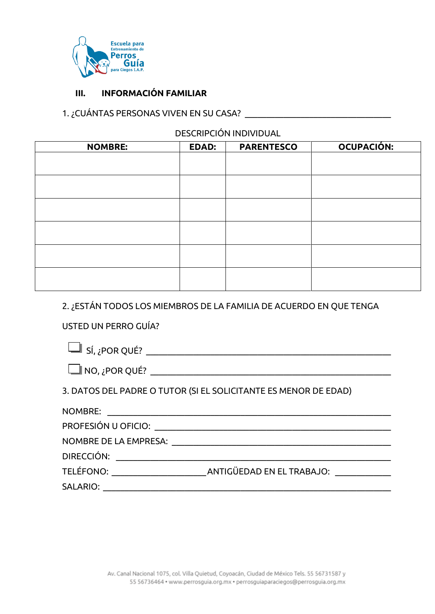

#### **INFORMACIÓN FAMILIAR**  $III.$

### 

### **DESCRIPCIÓN INDIVIDUAL**

| <b>NOMBRE:</b> | <b>EDAD:</b> | <b>PARENTESCO</b> | OCUPACIÓN: |
|----------------|--------------|-------------------|------------|
|                |              |                   |            |
|                |              |                   |            |
|                |              |                   |            |
|                |              |                   |            |
|                |              |                   |            |
|                |              |                   |            |
|                |              |                   |            |
|                |              |                   |            |
|                |              |                   |            |
|                |              |                   |            |
|                |              |                   |            |
|                |              |                   |            |

# 2. ¿ESTÁN TODOS LOS MIEMBROS DE LA FAMILIA DE ACUERDO EN QUE TENGA

### USTED UN PERRO GUÍA?

| $\Box$ SÍ, ¿POR QUÉ?                                                                                           |                                                                 |
|----------------------------------------------------------------------------------------------------------------|-----------------------------------------------------------------|
| $\Box$ NO, ¿POR QUÉ?                                                                                           |                                                                 |
|                                                                                                                | 3. DATOS DEL PADRE O TUTOR (SI EL SOLICITANTE ES MENOR DE EDAD) |
|                                                                                                                |                                                                 |
|                                                                                                                |                                                                 |
| NOMBRE DE LA EMPRESA: NOMBRE DE LA EMPRESA:                                                                    |                                                                 |
| DIRECCIÓN: UNIVERSIDADE DE ENTRETADA DE ENTRE EL ENTRE EL ENTRE EL ENTRE EL ENTRE EL ENTRE EL ENTRE EL ENTRE E |                                                                 |
|                                                                                                                |                                                                 |
| SALARIO: ________                                                                                              |                                                                 |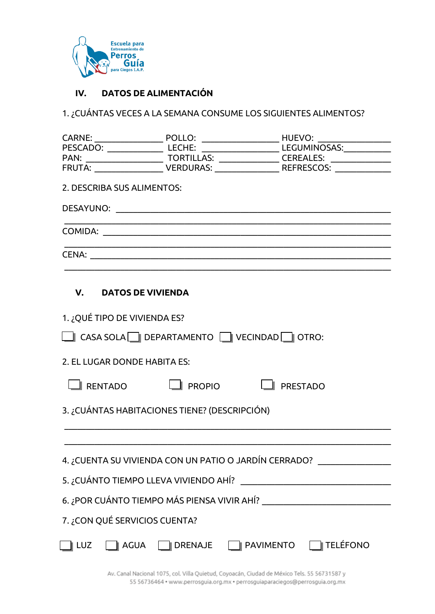

### **IV. DATOS DE ALIMENTACIÓN**

1. ¿CUÁNTAS VECES A LA SEMANA CONSUME LOS SIGUIENTES ALIMENTOS?

| 2. DESCRIBA SUS ALIMENTOS:    |                                                       |                                                                                                                                                                                                                                                                                                         |
|-------------------------------|-------------------------------------------------------|---------------------------------------------------------------------------------------------------------------------------------------------------------------------------------------------------------------------------------------------------------------------------------------------------------|
|                               |                                                       | <u> 1989 - Johann Stoff, amerikansk politiker (d. 1989)</u>                                                                                                                                                                                                                                             |
|                               |                                                       | <u> 1989 - Jan James James Barnett, amerikan berlindar (h. 1989).</u><br>CENA: La construction de la construction de la construction de la construction de la construction de la construction de la construction de la construction de la construction de la construction de la construction de la cons |
| V. DATOS DE VIVIENDA          |                                                       |                                                                                                                                                                                                                                                                                                         |
| 1. ¿QUÉ TIPO DE VIVIENDA ES?  |                                                       |                                                                                                                                                                                                                                                                                                         |
|                               | CASA SOLA DEPARTAMENTO VECINDAD OTRO:                 |                                                                                                                                                                                                                                                                                                         |
| 2. EL LUGAR DONDE HABITA ES:  |                                                       |                                                                                                                                                                                                                                                                                                         |
|                               | $\Box$ RENTADO $\Box$ PROPIO $\Box$ PRESTADO          |                                                                                                                                                                                                                                                                                                         |
|                               | 3. ¿CUÁNTAS HABITACIONES TIENE? (DESCRIPCIÓN)         |                                                                                                                                                                                                                                                                                                         |
|                               |                                                       |                                                                                                                                                                                                                                                                                                         |
|                               | 4. ¿CUENTA SU VIVIENDA CON UN PATIO O JARDÍN CERRADO? |                                                                                                                                                                                                                                                                                                         |
|                               |                                                       |                                                                                                                                                                                                                                                                                                         |
|                               |                                                       |                                                                                                                                                                                                                                                                                                         |
| 7. ¿CON QUÉ SERVICIOS CUENTA? |                                                       |                                                                                                                                                                                                                                                                                                         |
|                               |                                                       | LUZ Q AGUA Q DRENAJE Q PAVIMENTO Q TELÉFONO                                                                                                                                                                                                                                                             |

Av. Canal Nacional 1075, col. Villa Quietud, Coyoacán, Ciudad de México Tels. 55 56731587 y 55 56736464 · www.perrosguia.org.mx · perrosguiaparaciegos@perrosguia.org.mx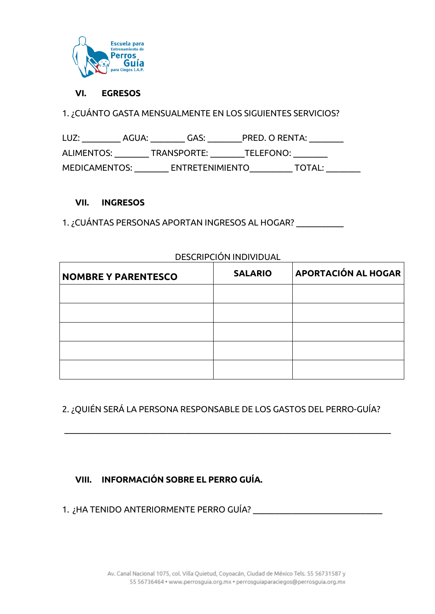

#### **VI. EGRESOS**

1. ¿CUÁNTO GASTA MENSUALMENTE EN LOS SIGUIENTES SERVICIOS?

LUZ: \_\_\_\_\_\_\_\_\_\_ AGUA: \_\_\_\_\_\_\_\_ GAS: \_\_\_\_\_\_\_\_ PRED. O RENTA: \_\_\_\_\_\_\_\_ ALIMENTOS: \_\_\_\_\_\_\_\_\_ TRANSPORTE: \_\_\_\_\_\_\_\_\_ TELEFONO: \_\_\_\_\_\_\_\_ MEDICAMENTOS: \_\_\_\_\_\_\_\_\_ ENTRETENIMIENTO\_\_\_\_\_\_\_\_\_\_\_ TOTAL: \_\_\_\_\_\_\_\_

#### **VII. INGRESOS**

1. ¿CUÁNTAS PERSONAS APORTAN INGRESOS AL HOGAR? \_\_\_\_\_\_\_\_\_\_\_

|                            | DESCRIPCION INDIVIDUAL |                     |
|----------------------------|------------------------|---------------------|
| <b>NOMBRE Y PARENTESCO</b> | <b>SALARIO</b>         | APORTACIÓN AL HOGAR |
|                            |                        |                     |
|                            |                        |                     |
|                            |                        |                     |
|                            |                        |                     |
|                            |                        |                     |

DESCRIPCIÓN INDIVIDUAL

### 2. ¿QUIÉN SERÁ LA PERSONA RESPONSABLE DE LOS GASTOS DEL PERRO-GUÍA?

 $\mathcal{L}_\mathcal{L} = \{ \mathcal{L}_\mathcal{L} = \{ \mathcal{L}_\mathcal{L} = \{ \mathcal{L}_\mathcal{L} = \{ \mathcal{L}_\mathcal{L} = \{ \mathcal{L}_\mathcal{L} = \{ \mathcal{L}_\mathcal{L} = \{ \mathcal{L}_\mathcal{L} = \{ \mathcal{L}_\mathcal{L} = \{ \mathcal{L}_\mathcal{L} = \{ \mathcal{L}_\mathcal{L} = \{ \mathcal{L}_\mathcal{L} = \{ \mathcal{L}_\mathcal{L} = \{ \mathcal{L}_\mathcal{L} = \{ \mathcal{L}_\mathcal{$ 

### **VIII. INFORMACIÓN SOBRE EL PERRO GUÍA.**

1. ¿HA TENIDO ANTERIORMENTE PERRO GUÍA? \_\_\_\_\_\_\_\_\_\_\_\_\_\_\_\_\_\_\_\_\_\_\_\_\_\_\_\_\_\_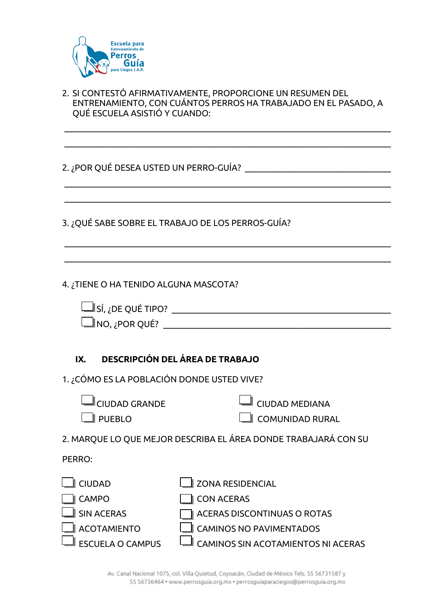

2. SI CONTESTÓ AFIRMATIVAMENTE, PROPORCIONE UN RESUMEN DEL ENTRENAMIENTO, CON CUÁNTOS PERROS HA TRABAJADO EN EL PASADO, A QUÉ ESCUELA ASISTIÓ Y CUANDO:

 $\mathcal{L}_\mathcal{L} = \{ \mathcal{L}_\mathcal{L} = \{ \mathcal{L}_\mathcal{L} = \{ \mathcal{L}_\mathcal{L} = \{ \mathcal{L}_\mathcal{L} = \{ \mathcal{L}_\mathcal{L} = \{ \mathcal{L}_\mathcal{L} = \{ \mathcal{L}_\mathcal{L} = \{ \mathcal{L}_\mathcal{L} = \{ \mathcal{L}_\mathcal{L} = \{ \mathcal{L}_\mathcal{L} = \{ \mathcal{L}_\mathcal{L} = \{ \mathcal{L}_\mathcal{L} = \{ \mathcal{L}_\mathcal{L} = \{ \mathcal{L}_\mathcal{$ 

 $\mathcal{L}_\mathcal{L} = \{ \mathcal{L}_\mathcal{L} = \{ \mathcal{L}_\mathcal{L} = \{ \mathcal{L}_\mathcal{L} = \{ \mathcal{L}_\mathcal{L} = \{ \mathcal{L}_\mathcal{L} = \{ \mathcal{L}_\mathcal{L} = \{ \mathcal{L}_\mathcal{L} = \{ \mathcal{L}_\mathcal{L} = \{ \mathcal{L}_\mathcal{L} = \{ \mathcal{L}_\mathcal{L} = \{ \mathcal{L}_\mathcal{L} = \{ \mathcal{L}_\mathcal{L} = \{ \mathcal{L}_\mathcal{L} = \{ \mathcal{L}_\mathcal{$ 

 $\mathcal{L}_\mathcal{L} = \{ \mathcal{L}_\mathcal{L} = \{ \mathcal{L}_\mathcal{L} = \{ \mathcal{L}_\mathcal{L} = \{ \mathcal{L}_\mathcal{L} = \{ \mathcal{L}_\mathcal{L} = \{ \mathcal{L}_\mathcal{L} = \{ \mathcal{L}_\mathcal{L} = \{ \mathcal{L}_\mathcal{L} = \{ \mathcal{L}_\mathcal{L} = \{ \mathcal{L}_\mathcal{L} = \{ \mathcal{L}_\mathcal{L} = \{ \mathcal{L}_\mathcal{L} = \{ \mathcal{L}_\mathcal{L} = \{ \mathcal{L}_\mathcal{$ 

 $\mathcal{L}_\mathcal{L} = \{ \mathcal{L}_\mathcal{L} = \{ \mathcal{L}_\mathcal{L} = \{ \mathcal{L}_\mathcal{L} = \{ \mathcal{L}_\mathcal{L} = \{ \mathcal{L}_\mathcal{L} = \{ \mathcal{L}_\mathcal{L} = \{ \mathcal{L}_\mathcal{L} = \{ \mathcal{L}_\mathcal{L} = \{ \mathcal{L}_\mathcal{L} = \{ \mathcal{L}_\mathcal{L} = \{ \mathcal{L}_\mathcal{L} = \{ \mathcal{L}_\mathcal{L} = \{ \mathcal{L}_\mathcal{L} = \{ \mathcal{L}_\mathcal{$ 

 $\mathcal{L}_\mathcal{L} = \{ \mathcal{L}_\mathcal{L} = \{ \mathcal{L}_\mathcal{L} = \{ \mathcal{L}_\mathcal{L} = \{ \mathcal{L}_\mathcal{L} = \{ \mathcal{L}_\mathcal{L} = \{ \mathcal{L}_\mathcal{L} = \{ \mathcal{L}_\mathcal{L} = \{ \mathcal{L}_\mathcal{L} = \{ \mathcal{L}_\mathcal{L} = \{ \mathcal{L}_\mathcal{L} = \{ \mathcal{L}_\mathcal{L} = \{ \mathcal{L}_\mathcal{L} = \{ \mathcal{L}_\mathcal{L} = \{ \mathcal{L}_\mathcal{$ 

 $\mathcal{L}_\mathcal{L} = \{ \mathcal{L}_\mathcal{L} = \{ \mathcal{L}_\mathcal{L} = \{ \mathcal{L}_\mathcal{L} = \{ \mathcal{L}_\mathcal{L} = \{ \mathcal{L}_\mathcal{L} = \{ \mathcal{L}_\mathcal{L} = \{ \mathcal{L}_\mathcal{L} = \{ \mathcal{L}_\mathcal{L} = \{ \mathcal{L}_\mathcal{L} = \{ \mathcal{L}_\mathcal{L} = \{ \mathcal{L}_\mathcal{L} = \{ \mathcal{L}_\mathcal{L} = \{ \mathcal{L}_\mathcal{L} = \{ \mathcal{L}_\mathcal{$ 

2. ¿POR QUÉ DESEA USTED UN PERRO-GUÍA? \_\_\_\_\_\_\_\_\_\_\_\_\_\_\_\_\_\_\_\_\_\_\_\_\_\_\_\_\_\_\_\_\_\_

3. ¿QUÉ SABE SOBRE EL TRABAJO DE LOS PERROS-GUÍA?

4. ¿TIENE O HA TENIDO ALGUNA MASCOTA?

| $\Box$ SÍ, ¿DE QUÉ TIPO? |  |
|--------------------------|--|
| $\Box$ NO, ¿POR QUÉ?     |  |

### **IX. DESCRIPCIÓN DEL ÁREA DE TRABAJO**

1. ¿CÓMO ES LA POBLACIÓN DONDE USTED VIVE?

| $\Box$ CIUDAD MEDIANA |  |
|-----------------------|--|
|-----------------------|--|

PUEBLO COMUNIDAD RURAL

2. MARQUE LO QUE MEJOR DESCRIBA EL ÁREA DONDE TRABAJARÁ CON SU

PERRO:

| <b>LU</b> ZONA RESIDENCIAL                |
|-------------------------------------------|
| CON ACERAS                                |
| $\Box$ ACERAS DISCONTINUAS O ROTAS        |
| $\Box$ CAMINOS NO PAVIMENTADOS            |
| $\Box$ CAMINOS SIN ACOTAMIENTOS NI ACERAS |
|                                           |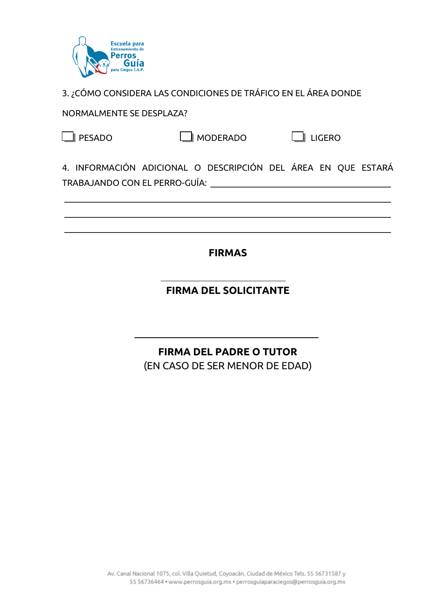

3. ¿CÓMO CONSIDERA LAS CONDICIONES DE TRÁFICO EN EL ÁREA DONDE

NORMALMENTE SE DESPLAZA?

|  | SADC<br>۱Г.<br>┌┑ |
|--|-------------------|
|--|-------------------|

 $\overline{\phantom{a}}$ 

 $\Box$  MODERADO  $\Box$  LIGERO

4. INFORMACIÓN ADICIONAL O DESCRIPCIÓN DEL ÁREA EN QUE ESTARÁ TRABAJANDO CON EL PERRO-GUÍA:

 $\mathcal{L}_\mathcal{L} = \{ \mathcal{L}_\mathcal{L} = \{ \mathcal{L}_\mathcal{L} = \{ \mathcal{L}_\mathcal{L} = \{ \mathcal{L}_\mathcal{L} = \{ \mathcal{L}_\mathcal{L} = \{ \mathcal{L}_\mathcal{L} = \{ \mathcal{L}_\mathcal{L} = \{ \mathcal{L}_\mathcal{L} = \{ \mathcal{L}_\mathcal{L} = \{ \mathcal{L}_\mathcal{L} = \{ \mathcal{L}_\mathcal{L} = \{ \mathcal{L}_\mathcal{L} = \{ \mathcal{L}_\mathcal{L} = \{ \mathcal{L}_\mathcal{$ 

 $\mathcal{L}_\mathcal{L} = \{ \mathcal{L}_\mathcal{L} = \{ \mathcal{L}_\mathcal{L} = \{ \mathcal{L}_\mathcal{L} = \{ \mathcal{L}_\mathcal{L} = \{ \mathcal{L}_\mathcal{L} = \{ \mathcal{L}_\mathcal{L} = \{ \mathcal{L}_\mathcal{L} = \{ \mathcal{L}_\mathcal{L} = \{ \mathcal{L}_\mathcal{L} = \{ \mathcal{L}_\mathcal{L} = \{ \mathcal{L}_\mathcal{L} = \{ \mathcal{L}_\mathcal{L} = \{ \mathcal{L}_\mathcal{L} = \{ \mathcal{L}_\mathcal{$ 

\_\_\_\_\_\_\_\_\_\_\_\_\_\_\_\_\_\_\_\_\_\_\_\_\_\_\_\_\_\_\_\_\_\_\_\_\_\_\_\_\_\_\_\_\_\_\_\_\_\_\_\_\_\_\_\_\_\_\_\_\_\_\_\_\_\_\_\_\_\_\_\_\_\_\_\_

## **FIRMAS**

# **FIRMA DEL SOLICITANTE**

# **FIRMA DEL PADRE O TUTOR**

(EN CASO DE SER MENOR DE EDAD)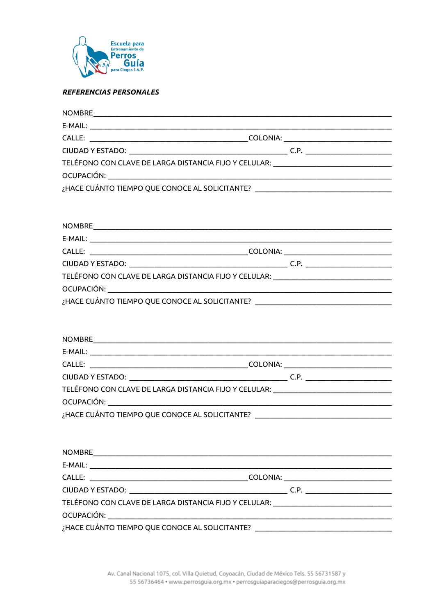

#### **REFERENCIAS PERSONALES**

| TELÉFONO CON CLAVE DE LARGA DISTANCIA FIJO Y CELULAR: __________________________  |  |
|-----------------------------------------------------------------------------------|--|
|                                                                                   |  |
| ¿HACE CUÁNTO TIEMPO QUE CONOCE AL SOLICITANTE? __________________________________ |  |
|                                                                                   |  |
|                                                                                   |  |
|                                                                                   |  |
|                                                                                   |  |
|                                                                                   |  |
| TELÉFONO CON CLAVE DE LARGA DISTANCIA FIJO Y CELULAR: __________________________  |  |
|                                                                                   |  |
| ¿HACE CUÁNTO TIEMPO QUE CONOCE AL SOLICITANTE? __________________________________ |  |
|                                                                                   |  |
|                                                                                   |  |
|                                                                                   |  |
|                                                                                   |  |
|                                                                                   |  |
|                                                                                   |  |
| TELÉFONO CON CLAVE DE LARGA DISTANCIA FIJO Y CELULAR: __________________________  |  |
|                                                                                   |  |
| ¿HACE CUÁNTO TIEMPO QUE CONOCE AL SOLICITANTE? _________________________________  |  |
|                                                                                   |  |
|                                                                                   |  |
|                                                                                   |  |
|                                                                                   |  |
|                                                                                   |  |
|                                                                                   |  |
| TELÉFONO CON CLAVE DE LARGA DISTANCIA FIJO Y CELULAR: __________________________  |  |
|                                                                                   |  |
|                                                                                   |  |

¿HACE CUÁNTO TIEMPO QUE CONOCE AL SOLICITANTE? \_\_\_\_\_\_\_\_\_\_\_\_\_\_\_\_\_\_\_\_\_\_\_\_\_\_\_\_\_\_\_\_\_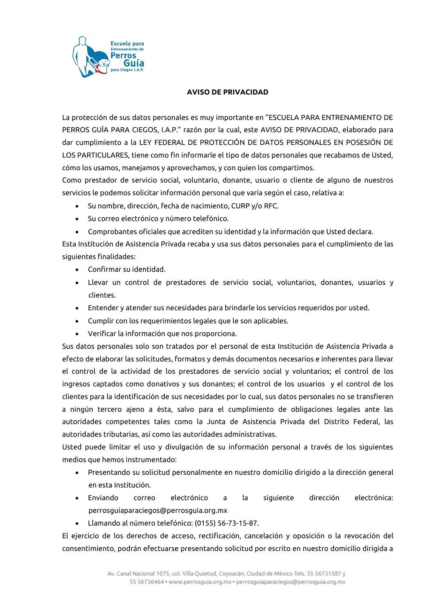

#### **AVISO DE PRIVACIDAD**

La protección de sus datos personales es muy importante en "ESCUELA PARA ENTRENAMIENTO DE PERROS GUÍA PARA CIEGOS, I.A.P." razón por la cual, este AVISO DE PRIVACIDAD, elaborado para dar cumplimiento a la LEY FEDERAL DE PROTECCIÓN DE DATOS PERSONALES EN POSESIÓN DE LOS PARTICULARES, tiene como fin informarle el tipo de datos personales que recabamos de Usted, cómo los usamos, manejamos y aprovechamos, y con quien los compartimos.

Como prestador de servicio social, voluntario, donante, usuario o cliente de alguno de nuestros servicios le podemos solicitar información personal que varía según el caso, relativa a:

- Su nombre, dirección, fecha de nacimiento, CURP y/o RFC.
- Su correo electrónico y número telefónico.
- Comprobantes oficiales que acrediten su identidad y la información que Usted declara.

Esta Institución de Asistencia Privada recaba y usa sus datos personales para el cumplimiento de las siguientes finalidades:

- Confirmar su identidad.
- Llevar un control de prestadores de servicio social, voluntarios, donantes, usuarios y clientes.
- Entender y atender sus necesidades para brindarle los servicios requeridos por usted.
- Cumplir con los requerimientos legales que le son aplicables.
- Verificar la información que nos proporciona.

Sus datos personales solo son tratados por el personal de esta Institución de Asistencia Privada a efecto de elaborar las solicitudes, formatos y demás documentos necesarios e inherentes para llevar el control de la actividad de los prestadores de servicio social y voluntarios; el control de los ingresos captados como donativos y sus donantes; el control de los usuarios y el control de los clientes para la identificación de sus necesidades por lo cual, sus datos personales no se transfieren a ningún tercero ajeno a ésta, salvo para el cumplimiento de obligaciones legales ante las autoridades competentes tales como la Junta de Asistencia Privada del Distrito Federal, las autoridades tributarias, así como las autoridades administrativas.

Usted puede limitar el uso y divulgación de su información personal a través de los siguientes medios que hemos instrumentado:

- Presentando su solicitud personalmente en nuestro domicilio dirigido a la dirección general en esta Institución.
- Enviando correo electrónico a la siguiente dirección electrónica: perrosguiaparaciegos@perrosguia.org.mx
- Llamando al número telefónico: (0155) 56-73-15-87.

El ejercicio de los derechos de acceso, rectificación, cancelación y oposición o la revocación del consentimiento, podrán efectuarse presentando solicitud por escrito en nuestro domicilio dirigida a